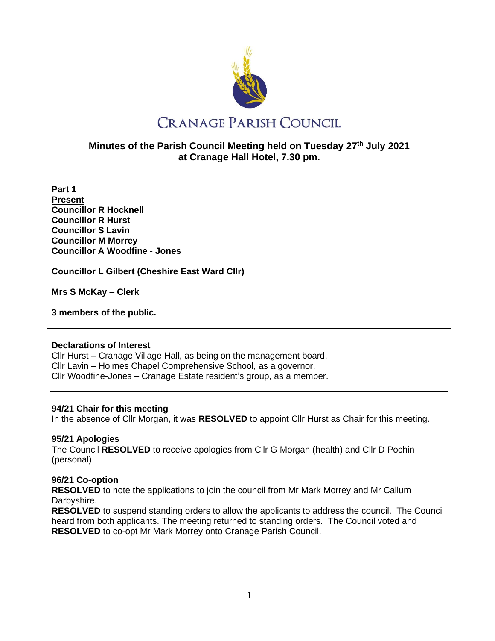

# **Minutes of the Parish Council Meeting held on Tuesday 27th July 2021 at Cranage Hall Hotel, 7.30 pm.**

**Part 1 Present Councillor R Hocknell Councillor R Hurst Councillor S Lavin Councillor M Morrey Councillor A Woodfine - Jones**

**Councillor L Gilbert (Cheshire East Ward Cllr)** 

**Mrs S McKay – Clerk** 

**3 members of the public.**

### **Declarations of Interest**

Cllr Hurst – Cranage Village Hall, as being on the management board. Cllr Lavin – Holmes Chapel Comprehensive School, as a governor. Cllr Woodfine-Jones – Cranage Estate resident's group, as a member.

## **94/21 Chair for this meeting**

In the absence of Cllr Morgan, it was **RESOLVED** to appoint Cllr Hurst as Chair for this meeting.

## **95/21 Apologies**

The Council **RESOLVED** to receive apologies from Cllr G Morgan (health) and Cllr D Pochin (personal)

## **96/21 Co-option**

**RESOLVED** to note the applications to join the council from Mr Mark Morrey and Mr Callum Darbyshire.

**RESOLVED** to suspend standing orders to allow the applicants to address the council. The Council heard from both applicants. The meeting returned to standing orders. The Council voted and **RESOLVED** to co-opt Mr Mark Morrey onto Cranage Parish Council.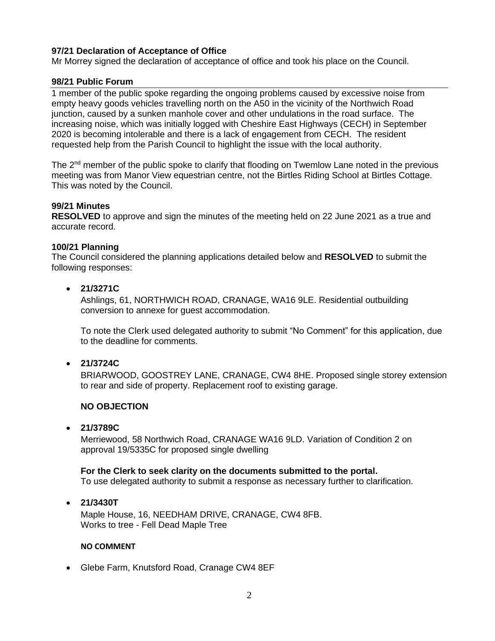## **97/21 Declaration of Acceptance of Office**

Mr Morrey signed the declaration of acceptance of office and took his place on the Council.

### **98/21 Public Forum**

1 member of the public spoke regarding the ongoing problems caused by excessive noise from empty heavy goods vehicles travelling north on the A50 in the vicinity of the Northwich Road junction, caused by a sunken manhole cover and other undulations in the road surface. The increasing noise, which was initially logged with Cheshire East Highways (CECH) in September 2020 is becoming intolerable and there is a lack of engagement from CECH. The resident requested help from the Parish Council to highlight the issue with the local authority.

The 2<sup>nd</sup> member of the public spoke to clarify that flooding on Twemlow Lane noted in the previous meeting was from Manor View equestrian centre, not the Birtles Riding School at Birtles Cottage. This was noted by the Council.

### **99/21 Minutes**

**RESOLVED** to approve and sign the minutes of the meeting held on 22 June 2021 as a true and accurate record.

### **100/21 Planning**

The Council considered the planning applications detailed below and **RESOLVED** to submit the following responses:

### • **21/3271C**

Ashlings, 61, NORTHWICH ROAD, CRANAGE, WA16 9LE. Residential outbuilding conversion to annexe for guest accommodation.

To note the Clerk used delegated authority to submit "No Comment" for this application, due to the deadline for comments.

### • **21/3724C**

BRIARWOOD, GOOSTREY LANE, CRANAGE, CW4 8HE. Proposed single storey extension to rear and side of property. Replacement roof to existing garage.

## **NO OBJECTION**

### • **21/3789C**

Merriewood, 58 Northwich Road, CRANAGE WA16 9LD. Variation of Condition 2 on approval 19/5335C for proposed single dwelling

**For the Clerk to seek clarity on the documents submitted to the portal.** To use delegated authority to submit a response as necessary further to clarification.

### • **21/3430T**

Maple House, 16, NEEDHAM DRIVE, CRANAGE, CW4 8FB. Works to tree - Fell Dead Maple Tree

### **NO COMMENT**

• Glebe Farm, Knutsford Road, Cranage CW4 8EF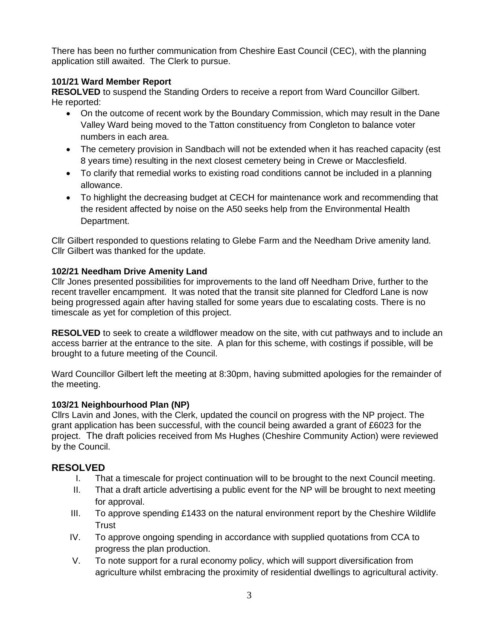There has been no further communication from Cheshire East Council (CEC), with the planning application still awaited. The Clerk to pursue.

## **101/21 Ward Member Report**

**RESOLVED** to suspend the Standing Orders to receive a report from Ward Councillor Gilbert. He reported:

- On the outcome of recent work by the Boundary Commission, which may result in the Dane Valley Ward being moved to the Tatton constituency from Congleton to balance voter numbers in each area.
- The cemetery provision in Sandbach will not be extended when it has reached capacity (est 8 years time) resulting in the next closest cemetery being in Crewe or Macclesfield.
- To clarify that remedial works to existing road conditions cannot be included in a planning allowance.
- To highlight the decreasing budget at CECH for maintenance work and recommending that the resident affected by noise on the A50 seeks help from the Environmental Health Department.

Cllr Gilbert responded to questions relating to Glebe Farm and the Needham Drive amenity land. Cllr Gilbert was thanked for the update.

## **102/21 Needham Drive Amenity Land**

Cllr Jones presented possibilities for improvements to the land off Needham Drive, further to the recent traveller encampment. It was noted that the transit site planned for Cledford Lane is now being progressed again after having stalled for some years due to escalating costs. There is no timescale as yet for completion of this project.

**RESOLVED** to seek to create a wildflower meadow on the site, with cut pathways and to include an access barrier at the entrance to the site. A plan for this scheme, with costings if possible, will be brought to a future meeting of the Council.

Ward Councillor Gilbert left the meeting at 8:30pm, having submitted apologies for the remainder of the meeting.

## **103/21 Neighbourhood Plan (NP)**

Cllrs Lavin and Jones, with the Clerk, updated the council on progress with the NP project. The grant application has been successful, with the council being awarded a grant of £6023 for the project. The draft policies received from Ms Hughes (Cheshire Community Action) were reviewed by the Council.

# **RESOLVED**

- I. That a timescale for project continuation will to be brought to the next Council meeting.
- II. That a draft article advertising a public event for the NP will be brought to next meeting for approval.
- III. To approve spending £1433 on the natural environment report by the Cheshire Wildlife **Trust**
- IV. To approve ongoing spending in accordance with supplied quotations from CCA to progress the plan production.
- V. To note support for a rural economy policy, which will support diversification from agriculture whilst embracing the proximity of residential dwellings to agricultural activity.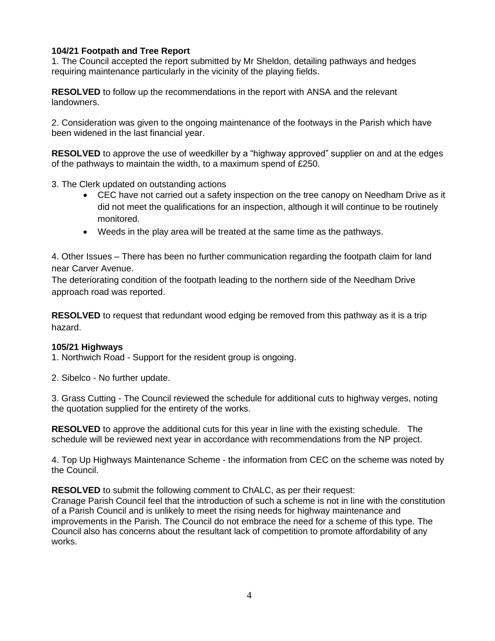## **104/21 Footpath and Tree Report**

1. The Council accepted the report submitted by Mr Sheldon, detailing pathways and hedges requiring maintenance particularly in the vicinity of the playing fields.

**RESOLVED** to follow up the recommendations in the report with ANSA and the relevant landowners.

2. Consideration was given to the ongoing maintenance of the footways in the Parish which have been widened in the last financial year.

**RESOLVED** to approve the use of weedkiller by a "highway approved" supplier on and at the edges of the pathways to maintain the width, to a maximum spend of £250.

3. The Clerk updated on outstanding actions

- CEC have not carried out a safety inspection on the tree canopy on Needham Drive as it did not meet the qualifications for an inspection, although it will continue to be routinely monitored.
- Weeds in the play area will be treated at the same time as the pathways.

4. Other Issues – There has been no further communication regarding the footpath claim for land near Carver Avenue.

The deteriorating condition of the footpath leading to the northern side of the Needham Drive approach road was reported.

**RESOLVED** to request that redundant wood edging be removed from this pathway as it is a trip hazard.

### **105/21 Highways**

1. Northwich Road - Support for the resident group is ongoing.

2. Sibelco - No further update.

3. Grass Cutting - The Council reviewed the schedule for additional cuts to highway verges, noting the quotation supplied for the entirety of the works.

**RESOLVED** to approve the additional cuts for this year in line with the existing schedule. The schedule will be reviewed next year in accordance with recommendations from the NP project.

4. Top Up Highways Maintenance Scheme - the information from CEC on the scheme was noted by the Council.

**RESOLVED** to submit the following comment to ChALC, as per their request: Cranage Parish Council feel that the introduction of such a scheme is not in line with the constitution of a Parish Council and is unlikely to meet the rising needs for highway maintenance and improvements in the Parish. The Council do not embrace the need for a scheme of this type. The Council also has concerns about the resultant lack of competition to promote affordability of any works.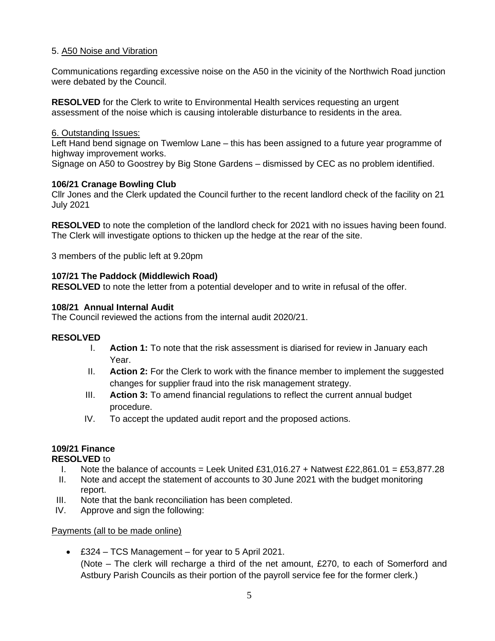## 5. A50 Noise and Vibration

Communications regarding excessive noise on the A50 in the vicinity of the Northwich Road junction were debated by the Council.

**RESOLVED** for the Clerk to write to Environmental Health services requesting an urgent assessment of the noise which is causing intolerable disturbance to residents in the area.

### 6. Outstanding Issues:

Left Hand bend signage on Twemlow Lane – this has been assigned to a future year programme of highway improvement works.

Signage on A50 to Goostrey by Big Stone Gardens – dismissed by CEC as no problem identified.

## **106/21 Cranage Bowling Club**

Cllr Jones and the Clerk updated the Council further to the recent landlord check of the facility on 21 July 2021

**RESOLVED** to note the completion of the landlord check for 2021 with no issues having been found. The Clerk will investigate options to thicken up the hedge at the rear of the site.

3 members of the public left at 9.20pm

### **107/21 The Paddock (Middlewich Road)**

**RESOLVED** to note the letter from a potential developer and to write in refusal of the offer.

### **108/21 Annual Internal Audit**

The Council reviewed the actions from the internal audit 2020/21.

### **RESOLVED**

- I. **Action 1:** To note that the risk assessment is diarised for review in January each Year.
- II. **Action 2:** For the Clerk to work with the finance member to implement the suggested changes for supplier fraud into the risk management strategy.
- III. **Action 3:** To amend financial regulations to reflect the current annual budget procedure.
- IV. To accept the updated audit report and the proposed actions.

## **109/21 Finance**

### **RESOLVED** to

- I. Note the balance of accounts = Leek United £31,016,27 + Natwest £22,861,01 = £53,877,28
- II. Note and accept the statement of accounts to 30 June 2021 with the budget monitoring report.
- III. Note that the bank reconciliation has been completed.
- IV. Approve and sign the following:

### Payments (all to be made online)

• £324 – TCS Management – for year to 5 April 2021. (Note – The clerk will recharge a third of the net amount, £270, to each of Somerford and Astbury Parish Councils as their portion of the payroll service fee for the former clerk.)